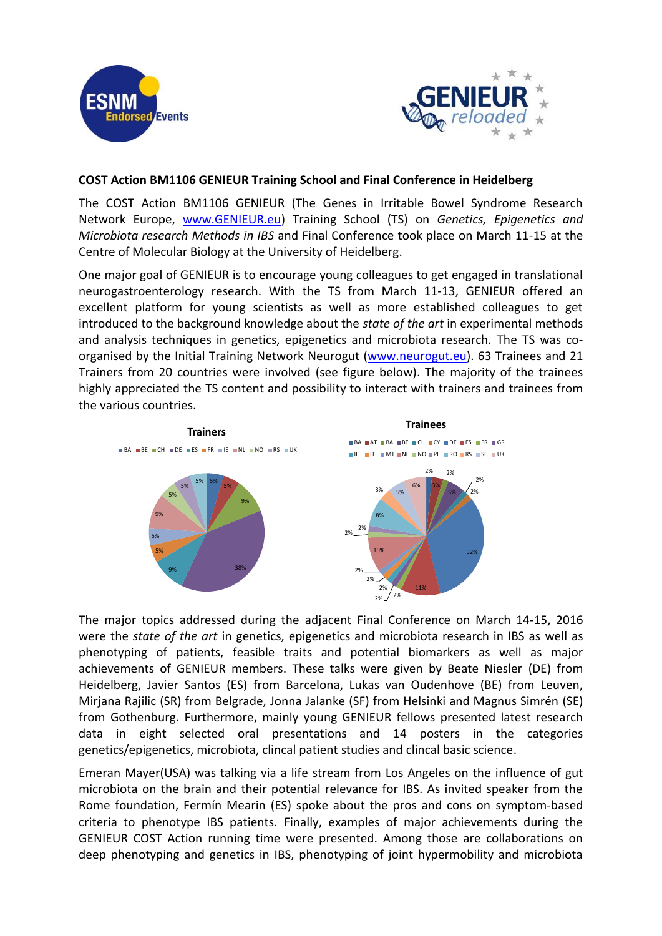



## **COST Action BM1106 GENIEUR Training School and Final Conference in Heidelberg**

The COST Action BM1106 GENIEUR (The Genes in Irritable Bowel Syndrome Research Network Europe, [www.GENIEUR.eu\)](http://www.genieur.eu/) Training School (TS) on *Genetics, Epigenetics and Microbiota research Methods in IBS* and Final Conference took place on March 11-15 at the Centre of Molecular Biology at the University of Heidelberg.

One major goal of GENIEUR is to encourage young colleagues to get engaged in translational neurogastroenterology research. With the TS from March 11-13, GENIEUR offered an excellent platform for young scientists as well as more established colleagues to get introduced to the background knowledge about the *state of the art* in experimental methods and analysis techniques in genetics, epigenetics and microbiota research. The TS was co-organised by the Initial Training Network Neurogut [\(www.neurogut.eu\)](http://www.neurogut.eu/). 63 Trainees and 21 Trainers from 20 countries were involved (see figure below). The majority of the trainees highly appreciated the TS content and possibility to interact with trainers and trainees from the various countries.



The major topics addressed during the adjacent Final Conference on March 14-15, 2016 were the *state of the art* in genetics, epigenetics and microbiota research in IBS as well as phenotyping of patients, feasible traits and potential biomarkers as well as major achievements of GENIEUR members. These talks were given by Beate Niesler (DE) from Heidelberg, Javier Santos (ES) from Barcelona, Lukas van Oudenhove (BE) from Leuven, Mirjana Rajilic (SR) from Belgrade, Jonna Jalanke (SF) from Helsinki and Magnus Simrén (SE) from Gothenburg. Furthermore, mainly young GENIEUR fellows presented latest research data in eight selected oral presentations and 14 posters in the categories genetics/epigenetics, microbiota, clincal patient studies and clincal basic science.

Emeran Mayer(USA) was talking via a life stream from Los Angeles on the influence of gut microbiota on the brain and their potential relevance for IBS. As invited speaker from the Rome foundation, Fermín Mearin (ES) spoke about the pros and cons on symptom-based criteria to phenotype IBS patients. Finally, examples of major achievements during the GENIEUR COST Action running time were presented. Among those are collaborations on deep phenotyping and genetics in IBS, phenotyping of joint hypermobility and microbiota